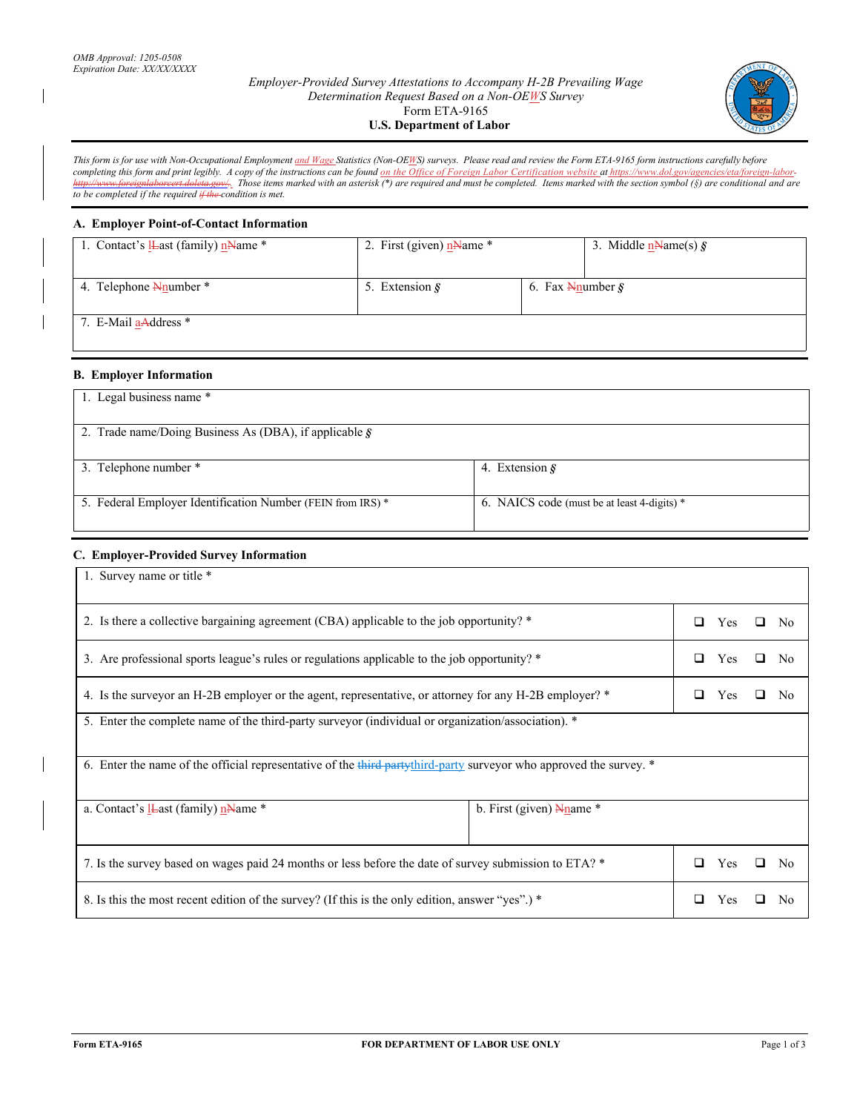## *Employer-Provided Survey Attestations to Accompany H-2B Prevailing Wage Determination Request Based on a Non-OEWS Survey*  Form ETA-9165 **U.S. Department of Labor**



*This form is for use with Non-Occupational Employment and Wage Statistics (Non-OEWS) surveys. Please read and review the Form ETA-9165 form instructions carefully before completing this form and print legibly. A copy of the instructions can be found on the Office of Foreign Labor Certification website at https://www.dol.gov/agencies/eta/foreign-labor http://www.foreignlaborcert.doleta.gov/.. Those items marked with an asterisk (\*) are required and must be completed. Items marked with the section symbol (§) are conditional and are to be completed if the required if the condition is met.* 

## **A. Employer Point-of-Contact Information**

| 1. Contact's <b>L</b> ast (family) $n$ Mame * | 2. First (given) $n$ Name *                                             |  | 3. Middle $n$ Name(s) $\hat{\mathbf{S}}$ |
|-----------------------------------------------|-------------------------------------------------------------------------|--|------------------------------------------|
| 4. Telephone Neumber *                        | 6. Fax $\frac{N_{\text{number}}}{S}$<br>5. Extension $\hat{\mathbf{s}}$ |  |                                          |
| 7. E-Mail aAddress *                          |                                                                         |  |                                          |

## **B. Employer Information**

| 1. Legal business name *                                       |                                             |
|----------------------------------------------------------------|---------------------------------------------|
| 2. Trade name/Doing Business As (DBA), if applicable $\hat{S}$ |                                             |
| 3. Telephone number *                                          | 4. Extension $\delta$                       |
| 5. Federal Employer Identification Number (FEIN from IRS) *    | 6. NAICS code (must be at least 4-digits) * |

# **C. Employer-Provided Survey Information**

| 1. Survey name or title *                                                                                                |  |                     |
|--------------------------------------------------------------------------------------------------------------------------|--|---------------------|
|                                                                                                                          |  |                     |
| 2. Is there a collective bargaining agreement (CBA) applicable to the job opportunity? *                                 |  | No<br>П             |
| 3. Are professional sports league's rules or regulations applicable to the job opportunity? *                            |  | N <sub>0</sub>      |
| 4. Is the surveyor an H-2B employer or the agent, representative, or attorney for any H-2B employer? *<br>◻<br>Yes<br>No |  |                     |
| 5. Enter the complete name of the third-party surveyor (individual or organization/association). *                       |  |                     |
| 6. Enter the name of the official representative of the third partythird-party surveyor who approved the survey. *       |  |                     |
| b. First (given) $N_{\text{name}}$ *<br>a. Contact's $I$ <b>L</b> ast (family) $n$ <b>N</b> ame $*$                      |  |                     |
| 7. Is the survey based on wages paid 24 months or less before the date of survey submission to ETA? *                    |  | N <sub>0</sub><br>◻ |
| 8. Is this the most recent edition of the survey? (If this is the only edition, answer "yes".) *                         |  | No                  |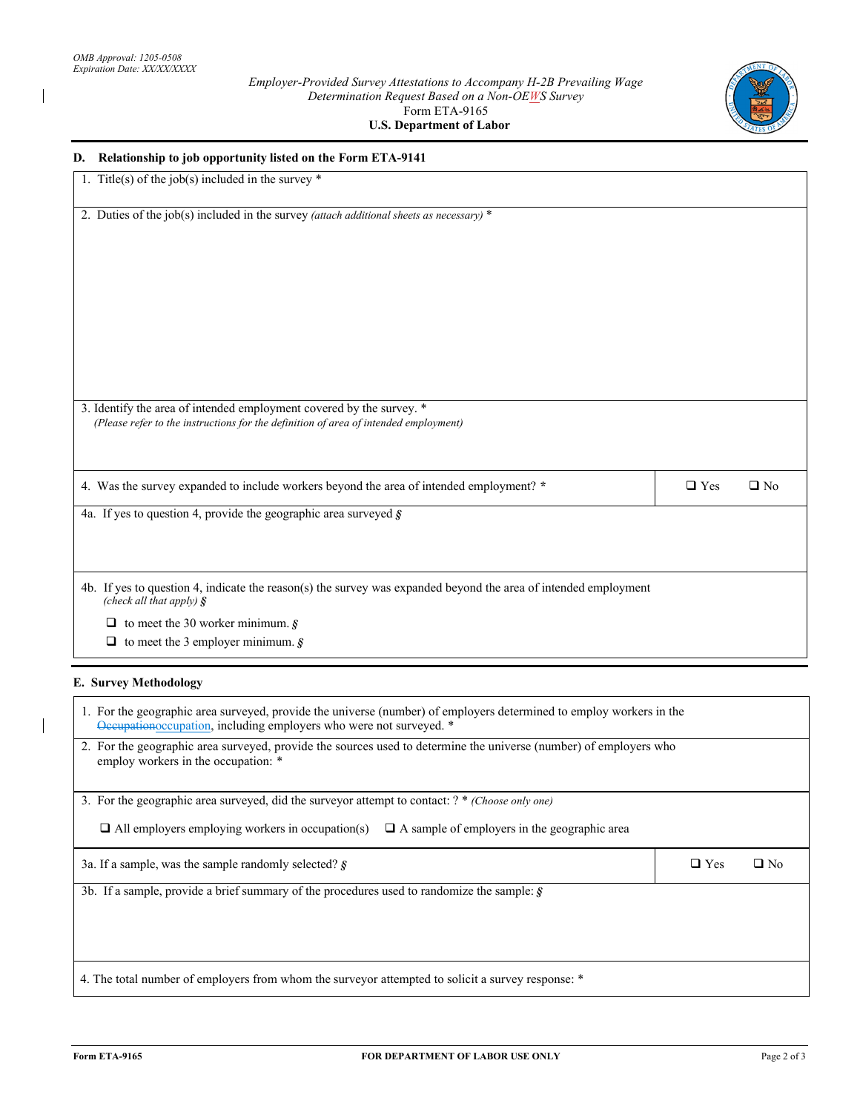$\overline{\phantom{a}}$ 

 $\overline{\phantom{a}}$ 



| D. Relationship to job opportunity listed on the Form ETA-9141                                                                                    |                            |
|---------------------------------------------------------------------------------------------------------------------------------------------------|----------------------------|
| 1. Title(s) of the job(s) included in the survey $*$                                                                                              |                            |
| 2. Duties of the job(s) included in the survey (attach additional sheets as necessary) *                                                          |                            |
|                                                                                                                                                   |                            |
|                                                                                                                                                   |                            |
|                                                                                                                                                   |                            |
|                                                                                                                                                   |                            |
|                                                                                                                                                   |                            |
|                                                                                                                                                   |                            |
|                                                                                                                                                   |                            |
|                                                                                                                                                   |                            |
| 3. Identify the area of intended employment covered by the survey. *                                                                              |                            |
| (Please refer to the instructions for the definition of area of intended employment)                                                              |                            |
|                                                                                                                                                   |                            |
|                                                                                                                                                   |                            |
| 4. Was the survey expanded to include workers beyond the area of intended employment? *                                                           | $\Box$ Yes<br>$\square$ No |
| 4a. If yes to question 4, provide the geographic area surveyed $\boldsymbol{\hat{S}}$                                                             |                            |
|                                                                                                                                                   |                            |
|                                                                                                                                                   |                            |
| 4b. If yes to question 4, indicate the reason(s) the survey was expanded beyond the area of intended employment<br>(check all that apply) $\oint$ |                            |
| $\Box$ to meet the 30 worker minimum. §                                                                                                           |                            |
| $\Box$ to meet the 3 employer minimum. §                                                                                                          |                            |
| <b>E. Survey Methodology</b>                                                                                                                      |                            |
|                                                                                                                                                   |                            |

| 1. For the geographic area surveyed, provide the universe (number) of employers determined to employ workers in the<br>Occupationoccupation, including employers who were not surveyed. * |            |           |
|-------------------------------------------------------------------------------------------------------------------------------------------------------------------------------------------|------------|-----------|
| 2. For the geographic area surveyed, provide the sources used to determine the universe (number) of employers who<br>employ workers in the occupation: *                                  |            |           |
| 3. For the geographic area surveyed, did the surveyor attempt to contact: ? * (Choose only one)                                                                                           |            |           |
| $\Box$ All employers employing workers in occupation(s)<br>$\Box$ A sample of employers in the geographic area                                                                            |            |           |
| 3a. If a sample, was the sample randomly selected? $\mathcal{S}$                                                                                                                          | $\Box$ Yes | $\Box$ No |
| 3b. If a sample, provide a brief summary of the procedures used to randomize the sample: $\hat{g}$                                                                                        |            |           |
|                                                                                                                                                                                           |            |           |
|                                                                                                                                                                                           |            |           |
|                                                                                                                                                                                           |            |           |
| 4. The total number of employers from whom the surveyor attempted to solicit a survey response: *                                                                                         |            |           |